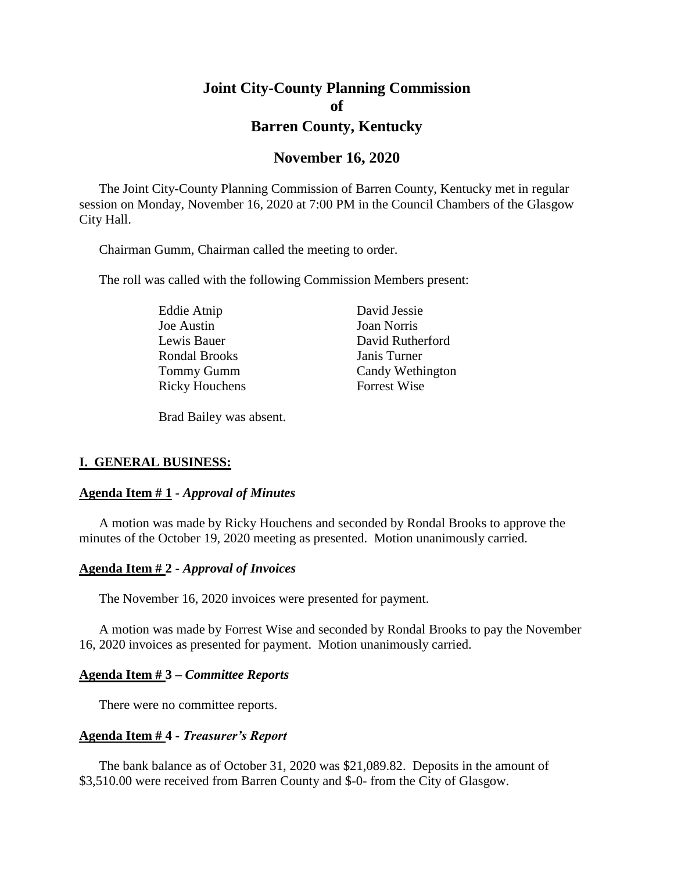# **Joint City-County Planning Commission of Barren County, Kentucky**

# **November 16, 2020**

The Joint City-County Planning Commission of Barren County, Kentucky met in regular session on Monday, November 16, 2020 at 7:00 PM in the Council Chambers of the Glasgow City Hall.

Chairman Gumm, Chairman called the meeting to order.

The roll was called with the following Commission Members present:

Eddie Atnip David Jessie Joe Austin Joan Norris Rondal Brooks Janis Turner Ricky Houchens Forrest Wise

Lewis Bauer David Rutherford Tommy Gumm Candy Wethington

Brad Bailey was absent.

#### **I. GENERAL BUSINESS:**

#### **Agenda Item # 1 -** *Approval of Minutes*

A motion was made by Ricky Houchens and seconded by Rondal Brooks to approve the minutes of the October 19, 2020 meeting as presented. Motion unanimously carried.

#### **Agenda Item # 2 -** *Approval of Invoices*

The November 16, 2020 invoices were presented for payment.

A motion was made by Forrest Wise and seconded by Rondal Brooks to pay the November 16, 2020 invoices as presented for payment. Motion unanimously carried.

#### **Agenda Item # 3 –** *Committee Reports*

There were no committee reports.

#### **Agenda Item # 4 -** *Treasurer's Report*

The bank balance as of October 31, 2020 was \$21,089.82. Deposits in the amount of \$3,510.00 were received from Barren County and \$-0- from the City of Glasgow.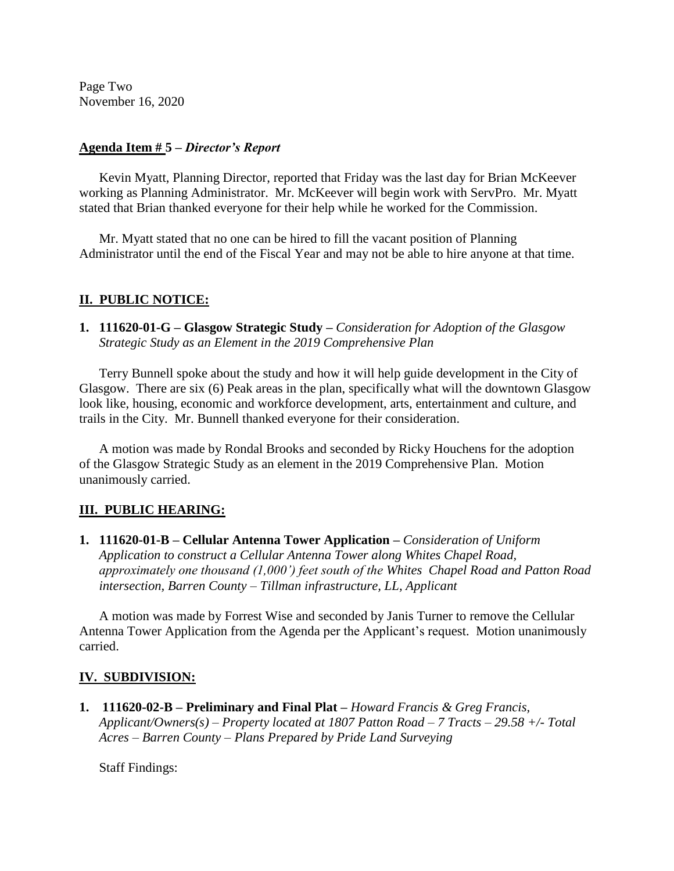Page Two November 16, 2020

### **Agenda Item # 5 –** *Director's Report*

Kevin Myatt, Planning Director, reported that Friday was the last day for Brian McKeever working as Planning Administrator. Mr. McKeever will begin work with ServPro. Mr. Myatt stated that Brian thanked everyone for their help while he worked for the Commission.

Mr. Myatt stated that no one can be hired to fill the vacant position of Planning Administrator until the end of the Fiscal Year and may not be able to hire anyone at that time.

### **II. PUBLIC NOTICE:**

**1. 111620-01-G – Glasgow Strategic Study** *– Consideration for Adoption of the Glasgow Strategic Study as an Element in the 2019 Comprehensive Plan*

Terry Bunnell spoke about the study and how it will help guide development in the City of Glasgow. There are six (6) Peak areas in the plan, specifically what will the downtown Glasgow look like, housing, economic and workforce development, arts, entertainment and culture, and trails in the City. Mr. Bunnell thanked everyone for their consideration.

A motion was made by Rondal Brooks and seconded by Ricky Houchens for the adoption of the Glasgow Strategic Study as an element in the 2019 Comprehensive Plan. Motion unanimously carried.

## **III. PUBLIC HEARING:**

**1. 111620-01-B – Cellular Antenna Tower Application** *– Consideration of Uniform Application to construct a Cellular Antenna Tower along Whites Chapel Road, approximately one thousand (1,000') feet south of the Whites Chapel Road and Patton Road intersection, Barren County – Tillman infrastructure, LL, Applicant*

A motion was made by Forrest Wise and seconded by Janis Turner to remove the Cellular Antenna Tower Application from the Agenda per the Applicant's request. Motion unanimously carried.

## **IV. SUBDIVISION:**

**1. 111620-02-B – Preliminary and Final Plat** *– Howard Francis & Greg Francis, Applicant/Owners(s) – Property located at 1807 Patton Road – 7 Tracts – 29.58 +/- Total Acres – Barren County – Plans Prepared by Pride Land Surveying*

Staff Findings: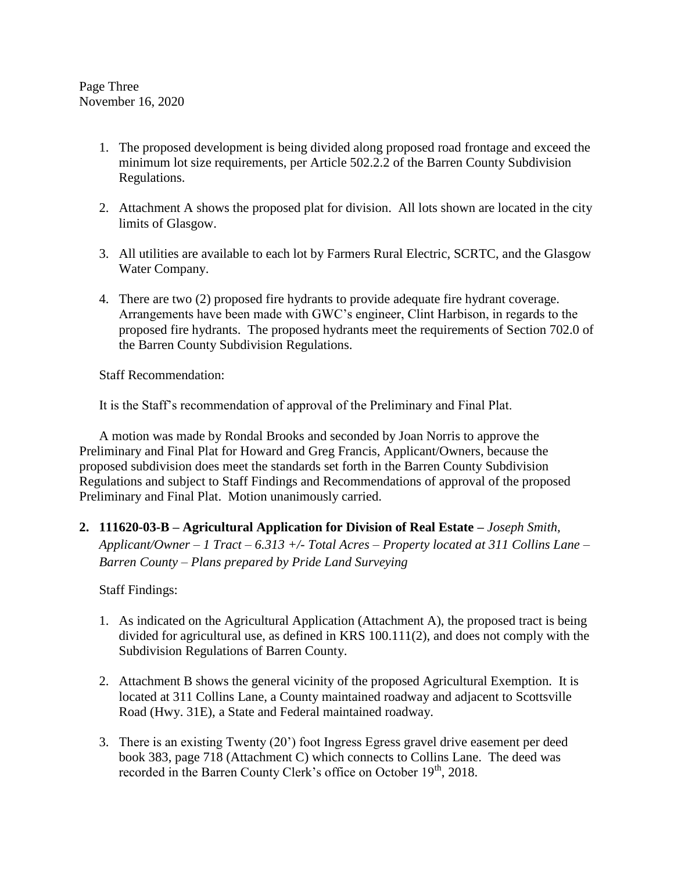Page Three November 16, 2020

- 1. The proposed development is being divided along proposed road frontage and exceed the minimum lot size requirements, per Article 502.2.2 of the Barren County Subdivision Regulations.
- 2. Attachment A shows the proposed plat for division. All lots shown are located in the city limits of Glasgow.
- 3. All utilities are available to each lot by Farmers Rural Electric, SCRTC, and the Glasgow Water Company.
- 4. There are two (2) proposed fire hydrants to provide adequate fire hydrant coverage. Arrangements have been made with GWC's engineer, Clint Harbison, in regards to the proposed fire hydrants. The proposed hydrants meet the requirements of Section 702.0 of the Barren County Subdivision Regulations.

Staff Recommendation:

It is the Staff's recommendation of approval of the Preliminary and Final Plat.

A motion was made by Rondal Brooks and seconded by Joan Norris to approve the Preliminary and Final Plat for Howard and Greg Francis, Applicant/Owners, because the proposed subdivision does meet the standards set forth in the Barren County Subdivision Regulations and subject to Staff Findings and Recommendations of approval of the proposed Preliminary and Final Plat. Motion unanimously carried.

**2. 111620-03-B – Agricultural Application for Division of Real Estate** *– Joseph Smith, Applicant/Owner – 1 Tract – 6.313 +/- Total Acres – Property located at 311 Collins Lane – Barren County – Plans prepared by Pride Land Surveying*

Staff Findings:

- 1. As indicated on the Agricultural Application (Attachment A), the proposed tract is being divided for agricultural use, as defined in KRS 100.111(2), and does not comply with the Subdivision Regulations of Barren County.
- 2. Attachment B shows the general vicinity of the proposed Agricultural Exemption. It is located at 311 Collins Lane, a County maintained roadway and adjacent to Scottsville Road (Hwy. 31E), a State and Federal maintained roadway.
- 3. There is an existing Twenty (20') foot Ingress Egress gravel drive easement per deed book 383, page 718 (Attachment C) which connects to Collins Lane. The deed was recorded in the Barren County Clerk's office on October 19<sup>th</sup>, 2018.